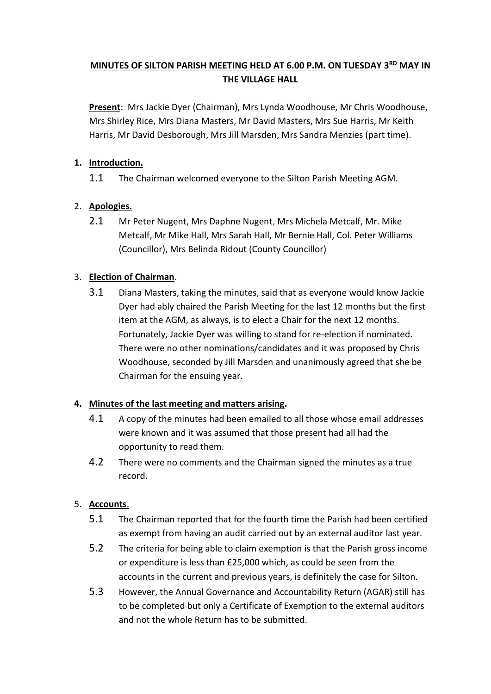# **MINUTES OF SILTON PARISH MEETING HELD AT 6.00 P.M. ON TUESDAY 3 RD MAY IN THE VILLAGE HALL**

**Present**: Mrs Jackie Dyer (Chairman), Mrs Lynda Woodhouse, Mr Chris Woodhouse, Mrs Shirley Rice, Mrs Diana Masters, Mr David Masters, Mrs Sue Harris, Mr Keith Harris, Mr David Desborough, Mrs Jill Marsden, Mrs Sandra Menzies (part time).

## **1. Introduction.**

1.1 The Chairman welcomed everyone to the Silton Parish Meeting AGM.

## 2. **Apologies.**

2.1 Mr Peter Nugent, Mrs Daphne Nugent, Mrs Michela Metcalf, Mr. Mike Metcalf, Mr Mike Hall, Mrs Sarah Hall, Mr Bernie Hall, Col. Peter Williams (Councillor), Mrs Belinda Ridout (County Councillor)

## 3. **Election of Chairman**.

3.1 Diana Masters, taking the minutes, said that as everyone would know Jackie Dyer had ably chaired the Parish Meeting for the last 12 months but the first item at the AGM, as always, is to elect a Chair for the next 12 months. Fortunately, Jackie Dyer was willing to stand for re-election if nominated. There were no other nominations/candidates and it was proposed by Chris Woodhouse, seconded by Jill Marsden and unanimously agreed that she be Chairman for the ensuing year.

#### **4. Minutes of the last meeting and matters arising.**

- 4.1 A copy of the minutes had been emailed to all those whose email addresses were known and it was assumed that those present had all had the opportunity to read them.
- 4.2 There were no comments and the Chairman signed the minutes as a true record.

# 5. **Accounts**.

- 5.1 The Chairman reported that for the fourth time the Parish had been certified as exempt from having an audit carried out by an external auditor last year.
- 5.2 The criteria for being able to claim exemption is that the Parish gross income or expenditure is less than £25,000 which, as could be seen from the accounts in the current and previous years, is definitely the case for Silton.
- 5.3 However, the Annual Governance and Accountability Return (AGAR) still has to be completed but only a Certificate of Exemption to the external auditors and not the whole Return has to be submitted.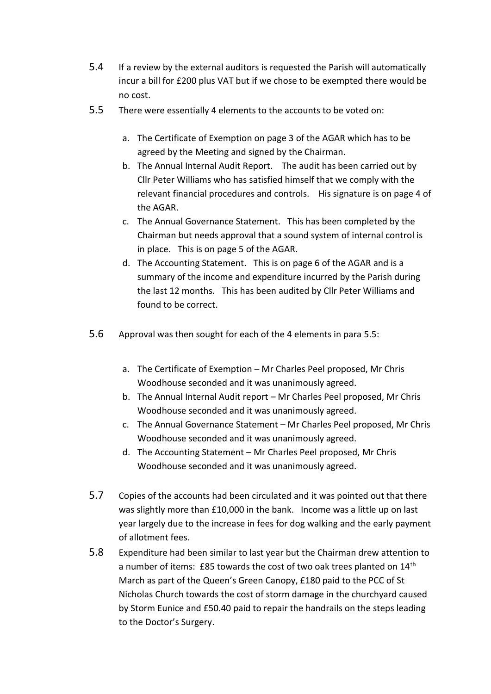- 5.4 If a review by the external auditors is requested the Parish will automatically incur a bill for £200 plus VAT but if we chose to be exempted there would be no cost.
- 5.5 There were essentially 4 elements to the accounts to be voted on:
	- a. The Certificate of Exemption on page 3 of the AGAR which has to be agreed by the Meeting and signed by the Chairman.
	- b. The Annual Internal Audit Report. The audit has been carried out by Cllr Peter Williams who has satisfied himself that we comply with the relevant financial procedures and controls. His signature is on page 4 of the AGAR.
	- c. The Annual Governance Statement. This has been completed by the Chairman but needs approval that a sound system of internal control is in place. This is on page 5 of the AGAR.
	- d. The Accounting Statement. This is on page 6 of the AGAR and is a summary of the income and expenditure incurred by the Parish during the last 12 months. This has been audited by Cllr Peter Williams and found to be correct.
- 5.6 Approval was then sought for each of the 4 elements in para 5.5:
	- a. The Certificate of Exemption Mr Charles Peel proposed, Mr Chris Woodhouse seconded and it was unanimously agreed.
	- b. The Annual Internal Audit report Mr Charles Peel proposed, Mr Chris Woodhouse seconded and it was unanimously agreed.
	- c. The Annual Governance Statement Mr Charles Peel proposed, Mr Chris Woodhouse seconded and it was unanimously agreed.
	- d. The Accounting Statement Mr Charles Peel proposed, Mr Chris Woodhouse seconded and it was unanimously agreed.
- 5.7 Copies of the accounts had been circulated and it was pointed out that there was slightly more than £10,000 in the bank. Income was a little up on last year largely due to the increase in fees for dog walking and the early payment of allotment fees.
- 5.8 Expenditure had been similar to last year but the Chairman drew attention to a number of items: £85 towards the cost of two oak trees planted on 14<sup>th</sup> March as part of the Queen's Green Canopy, £180 paid to the PCC of St Nicholas Church towards the cost of storm damage in the churchyard caused by Storm Eunice and £50.40 paid to repair the handrails on the steps leading to the Doctor's Surgery.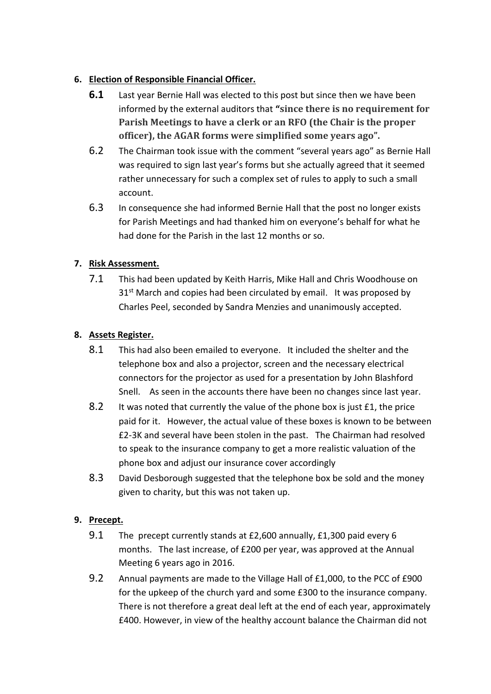# **6. Election of Responsible Financial Officer.**

- **6.1** Last year Bernie Hall was elected to this post but since then we have been informed by the external auditors that **"since there is no requirement for Parish Meetings to have a clerk or an RFO (the Chair is the proper officer), the AGAR forms were simplified some years ago".**
- 6.2 The Chairman took issue with the comment "several years ago" as Bernie Hall was required to sign last year's forms but she actually agreed that it seemed rather unnecessary for such a complex set of rules to apply to such a small account.
- 6.3 In consequence she had informed Bernie Hall that the post no longer exists for Parish Meetings and had thanked him on everyone's behalf for what he had done for the Parish in the last 12 months or so.

# **7. Risk Assessment.**

7.1 This had been updated by Keith Harris, Mike Hall and Chris Woodhouse on 31<sup>st</sup> March and copies had been circulated by email. It was proposed by Charles Peel, seconded by Sandra Menzies and unanimously accepted.

# **8. Assets Register.**

- 8.1 This had also been emailed to everyone. It included the shelter and the telephone box and also a projector, screen and the necessary electrical connectors for the projector as used for a presentation by John Blashford Snell. As seen in the accounts there have been no changes since last year.
- 8.2 It was noted that currently the value of the phone box is just £1, the price paid for it. However, the actual value of these boxes is known to be between £2-3K and several have been stolen in the past. The Chairman had resolved to speak to the insurance company to get a more realistic valuation of the phone box and adjust our insurance cover accordingly
- 8.3 David Desborough suggested that the telephone box be sold and the money given to charity, but this was not taken up.

# **9. Precept.**

- 9.1 The precept currently stands at £2,600 annually, £1,300 paid every 6 months. The last increase, of £200 per year, was approved at the Annual Meeting 6 years ago in 2016.
- 9.2 Annual payments are made to the Village Hall of £1,000, to the PCC of £900 for the upkeep of the church yard and some £300 to the insurance company. There is not therefore a great deal left at the end of each year, approximately £400. However, in view of the healthy account balance the Chairman did not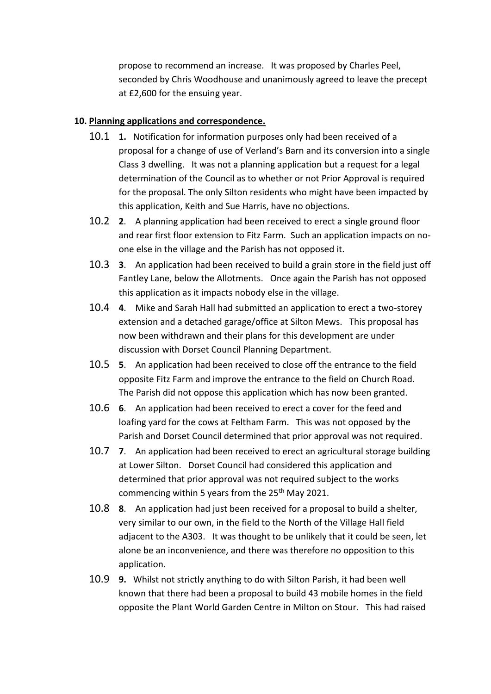propose to recommend an increase. It was proposed by Charles Peel, seconded by Chris Woodhouse and unanimously agreed to leave the precept at £2,600 for the ensuing year.

#### **10. Planning applications and correspondence.**

- 10.1 **1.** Notification for information purposes only had been received of a proposal for a change of use of Verland's Barn and its conversion into a single Class 3 dwelling. It was not a planning application but a request for a legal determination of the Council as to whether or not Prior Approval is required for the proposal. The only Silton residents who might have been impacted by this application, Keith and Sue Harris, have no objections.
- 10.2 **2**. A planning application had been received to erect a single ground floor and rear first floor extension to Fitz Farm. Such an application impacts on noone else in the village and the Parish has not opposed it.
- 10.3 **3**. An application had been received to build a grain store in the field just off Fantley Lane, below the Allotments. Once again the Parish has not opposed this application as it impacts nobody else in the village.
- 10.4 **4**. Mike and Sarah Hall had submitted an application to erect a two-storey extension and a detached garage/office at Silton Mews. This proposal has now been withdrawn and their plans for this development are under discussion with Dorset Council Planning Department.
- 10.5 **5**. An application had been received to close off the entrance to the field opposite Fitz Farm and improve the entrance to the field on Church Road. The Parish did not oppose this application which has now been granted.
- 10.6 **6**. An application had been received to erect a cover for the feed and loafing yard for the cows at Feltham Farm. This was not opposed by the Parish and Dorset Council determined that prior approval was not required.
- 10.7 **7**. An application had been received to erect an agricultural storage building at Lower Silton. Dorset Council had considered this application and determined that prior approval was not required subject to the works commencing within 5 years from the 25<sup>th</sup> May 2021.
- 10.8 **8**. An application had just been received for a proposal to build a shelter, very similar to our own, in the field to the North of the Village Hall field adjacent to the A303. It was thought to be unlikely that it could be seen, let alone be an inconvenience, and there was therefore no opposition to this application.
- 10.9 **9.** Whilst not strictly anything to do with Silton Parish, it had been well known that there had been a proposal to build 43 mobile homes in the field opposite the Plant World Garden Centre in Milton on Stour. This had raised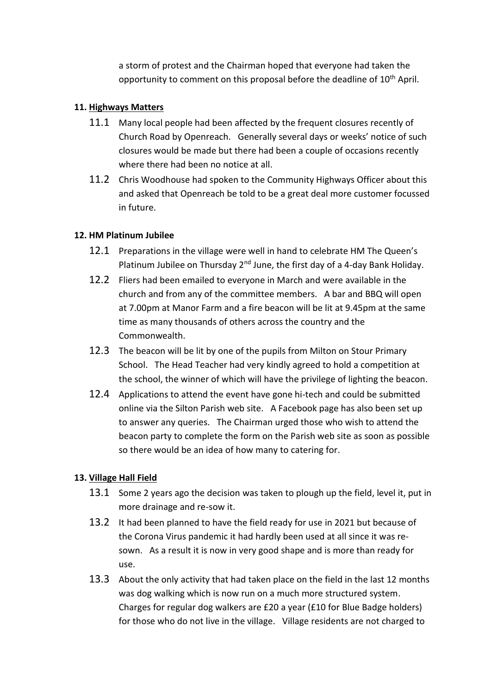a storm of protest and the Chairman hoped that everyone had taken the opportunity to comment on this proposal before the deadline of 10<sup>th</sup> April.

#### **11. Highways Matters**

- 11.1 Many local people had been affected by the frequent closures recently of Church Road by Openreach. Generally several days or weeks' notice of such closures would be made but there had been a couple of occasions recently where there had been no notice at all.
- 11.2 Chris Woodhouse had spoken to the Community Highways Officer about this and asked that Openreach be told to be a great deal more customer focussed in future.

## **12. HM Platinum Jubilee**

- 12.1 Preparations in the village were well in hand to celebrate HM The Queen's Platinum Jubilee on Thursday  $2^{nd}$  June, the first day of a 4-day Bank Holiday.
- 12.2 Fliers had been emailed to everyone in March and were available in the church and from any of the committee members. A bar and BBQ will open at 7.00pm at Manor Farm and a fire beacon will be lit at 9.45pm at the same time as many thousands of others across the country and the Commonwealth.
- 12.3 The beacon will be lit by one of the pupils from Milton on Stour Primary School. The Head Teacher had very kindly agreed to hold a competition at the school, the winner of which will have the privilege of lighting the beacon.
- 12.4 Applications to attend the event have gone hi-tech and could be submitted online via the Silton Parish web site. A Facebook page has also been set up to answer any queries. The Chairman urged those who wish to attend the beacon party to complete the form on the Parish web site as soon as possible so there would be an idea of how many to catering for.

# **13. Village Hall Field**

- 13.1 Some 2 years ago the decision was taken to plough up the field, level it, put in more drainage and re-sow it.
- 13.2 It had been planned to have the field ready for use in 2021 but because of the Corona Virus pandemic it had hardly been used at all since it was resown. As a result it is now in very good shape and is more than ready for use.
- 13.3 About the only activity that had taken place on the field in the last 12 months was dog walking which is now run on a much more structured system. Charges for regular dog walkers are £20 a year (£10 for Blue Badge holders) for those who do not live in the village. Village residents are not charged to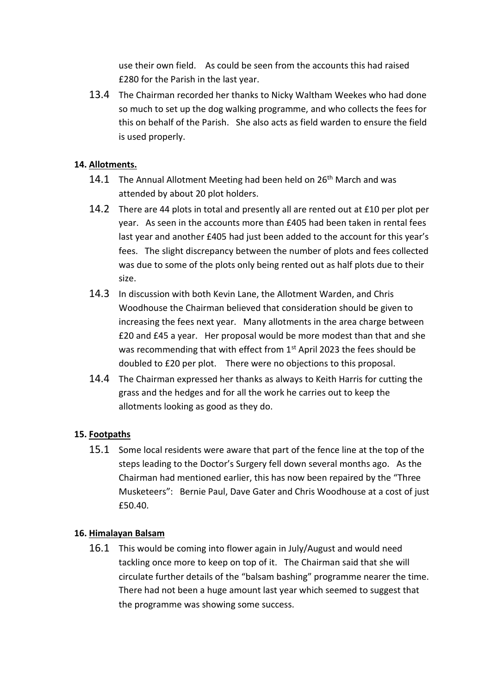use their own field. As could be seen from the accounts this had raised £280 for the Parish in the last year.

13.4 The Chairman recorded her thanks to Nicky Waltham Weekes who had done so much to set up the dog walking programme, and who collects the fees for this on behalf of the Parish. She also acts as field warden to ensure the field is used properly.

## **14. Allotments.**

- 14.1 The Annual Allotment Meeting had been held on  $26<sup>th</sup>$  March and was attended by about 20 plot holders.
- 14.2 There are 44 plots in total and presently all are rented out at £10 per plot per year. As seen in the accounts more than £405 had been taken in rental fees last year and another £405 had just been added to the account for this year's fees. The slight discrepancy between the number of plots and fees collected was due to some of the plots only being rented out as half plots due to their size.
- 14.3 In discussion with both Kevin Lane, the Allotment Warden, and Chris Woodhouse the Chairman believed that consideration should be given to increasing the fees next year. Many allotments in the area charge between £20 and £45 a year. Her proposal would be more modest than that and she was recommending that with effect from 1<sup>st</sup> April 2023 the fees should be doubled to £20 per plot. There were no objections to this proposal.
- 14.4 The Chairman expressed her thanks as always to Keith Harris for cutting the grass and the hedges and for all the work he carries out to keep the allotments looking as good as they do.

# **15. Footpaths**

15.1 Some local residents were aware that part of the fence line at the top of the steps leading to the Doctor's Surgery fell down several months ago. As the Chairman had mentioned earlier, this has now been repaired by the "Three Musketeers": Bernie Paul, Dave Gater and Chris Woodhouse at a cost of just £50.40.

#### **16. Himalayan Balsam**

16.1 This would be coming into flower again in July/August and would need tackling once more to keep on top of it. The Chairman said that she will circulate further details of the "balsam bashing" programme nearer the time. There had not been a huge amount last year which seemed to suggest that the programme was showing some success.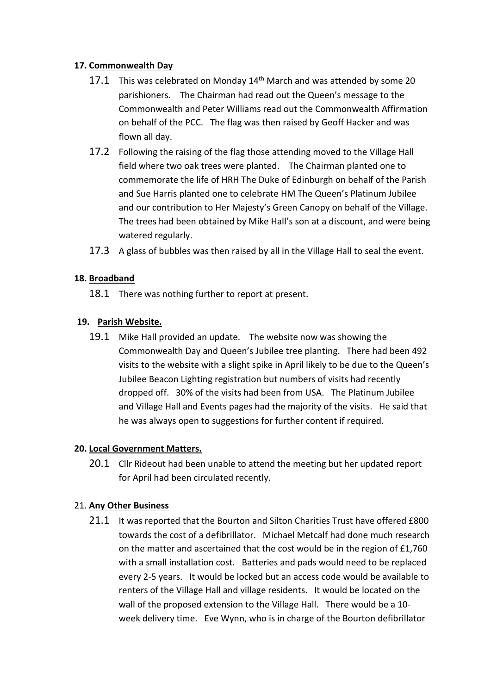## **17. Commonwealth Day**

- 17.1 This was celebrated on Monday  $14<sup>th</sup>$  March and was attended by some 20 parishioners. The Chairman had read out the Queen's message to the Commonwealth and Peter Williams read out the Commonwealth Affirmation on behalf of the PCC. The flag was then raised by Geoff Hacker and was flown all day.
- 17.2 Following the raising of the flag those attending moved to the Village Hall field where two oak trees were planted. The Chairman planted one to commemorate the life of HRH The Duke of Edinburgh on behalf of the Parish and Sue Harris planted one to celebrate HM The Queen's Platinum Jubilee and our contribution to Her Majesty's Green Canopy on behalf of the Village. The trees had been obtained by Mike Hall's son at a discount, and were being watered regularly.
- 17.3 A glass of bubbles was then raised by all in the Village Hall to seal the event.

## **18. Broadband**

18.1 There was nothing further to report at present.

## **19. Parish Website.**

19.1 Mike Hall provided an update. The website now was showing the Commonwealth Day and Queen's Jubilee tree planting. There had been 492 visits to the website with a slight spike in April likely to be due to the Queen's Jubilee Beacon Lighting registration but numbers of visits had recently dropped off. 30% of the visits had been from USA. The Platinum Jubilee and Village Hall and Events pages had the majority of the visits. He said that he was always open to suggestions for further content if required.

#### **20. Local Government Matters.**

20.1 Cllr Rideout had been unable to attend the meeting but her updated report for April had been circulated recently.

#### 21. **Any Other Business**

21.1 It was reported that the Bourton and Silton Charities Trust have offered £800 towards the cost of a defibrillator. Michael Metcalf had done much research on the matter and ascertained that the cost would be in the region of £1,760 with a small installation cost. Batteries and pads would need to be replaced every 2-5 years. It would be locked but an access code would be available to renters of the Village Hall and village residents. It would be located on the wall of the proposed extension to the Village Hall. There would be a 10 week delivery time. Eve Wynn, who is in charge of the Bourton defibrillator